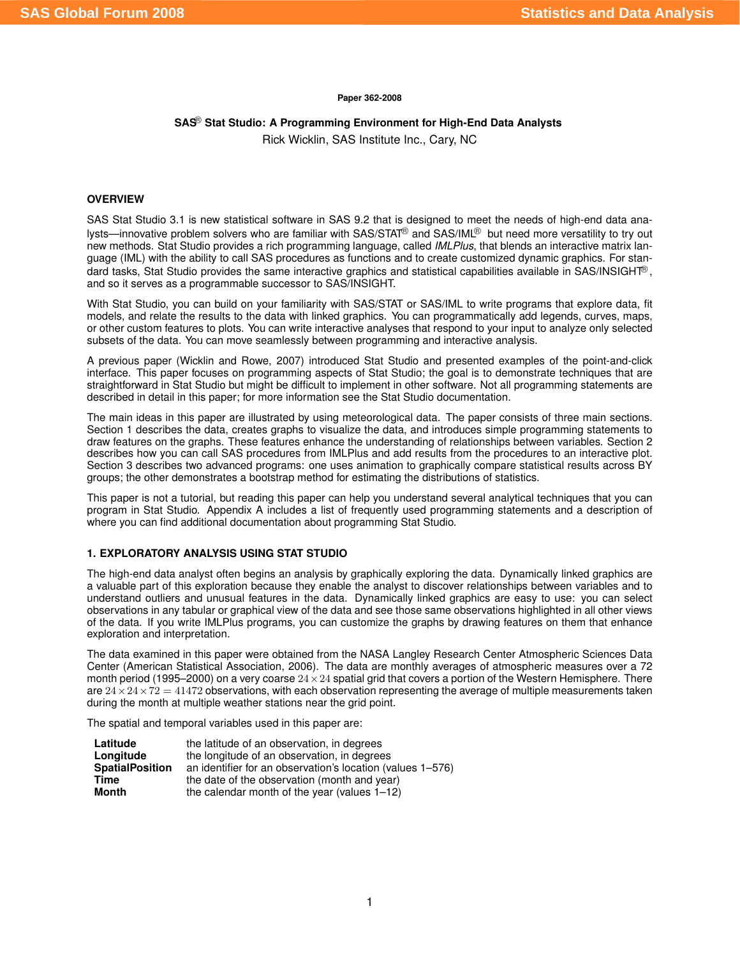#### **Paper 362-2008**

# **SAS Stat Studio: A Programming Environment for High-End Data Analysts**

Rick Wicklin, SAS Institute Inc., Cary, NC

### **OVERVIEW**

SAS Stat Studio 3.1 is new statistical software in SAS 9.2 that is designed to meet the needs of high-end data analysts—innovative problem solvers who are familiar with SAS/STAT<sup>®</sup> and SAS/IML<sup>®</sup> but need more versatility to try out new methods. Stat Studio provides a rich programming language, called *IMLPlus*, that blends an interactive matrix language (IML) with the ability to call SAS procedures as functions and to create customized dynamic graphics. For standard tasks, Stat Studio provides the same interactive graphics and statistical capabilities available in SAS/INSIGHT®, and so it serves as a programmable successor to SAS/INSIGHT.

With Stat Studio, you can build on your familiarity with SAS/STAT or SAS/IML to write programs that explore data, fit models, and relate the results to the data with linked graphics. You can programmatically add legends, curves, maps, or other custom features to plots. You can write interactive analyses that respond to your input to analyze only selected subsets of the data. You can move seamlessly between programming and interactive analysis.

A previous paper (Wicklin and Rowe, 2007) introduced Stat Studio and presented examples of the point-and-click interface. This paper focuses on programming aspects of Stat Studio; the goal is to demonstrate techniques that are straightforward in Stat Studio but might be difficult to implement in other software. Not all programming statements are described in detail in this paper; for more information see the Stat Studio documentation.

The main ideas in this paper are illustrated by using meteorological data. The paper consists of three main sections. Section 1 describes the data, creates graphs to visualize the data, and introduces simple programming statements to draw features on the graphs. These features enhance the understanding of relationships between variables. Section 2 describes how you can call SAS procedures from IMLPlus and add results from the procedures to an interactive plot. Section 3 describes two advanced programs: one uses animation to graphically compare statistical results across BY groups; the other demonstrates a bootstrap method for estimating the distributions of statistics.

This paper is not a tutorial, but reading this paper can help you understand several analytical techniques that you can program in Stat Studio. Appendix A includes a list of frequently used programming statements and a description of where you can find additional documentation about programming Stat Studio.

#### **1. EXPLORATORY ANALYSIS USING STAT STUDIO**

The high-end data analyst often begins an analysis by graphically exploring the data. Dynamically linked graphics are a valuable part of this exploration because they enable the analyst to discover relationships between variables and to understand outliers and unusual features in the data. Dynamically linked graphics are easy to use: you can select observations in any tabular or graphical view of the data and see those same observations highlighted in all other views of the data. If you write IMLPlus programs, you can customize the graphs by drawing features on them that enhance exploration and interpretation.

The data examined in this paper were obtained from the NASA Langley Research Center Atmospheric Sciences Data Center (American Statistical Association, 2006). The data are monthly averages of atmospheric measures over a 72 month period (1995–2000) on a very coarse  $24 \times 24$  spatial grid that covers a portion of the Western Hemisphere. There are  $24 \times 24 \times 72 = 41472$  observations, with each observation representing the average of multiple measurements taken during the month at multiple weather stations near the grid point.

The spatial and temporal variables used in this paper are:

| Latitude               | the latitude of an observation, in degrees                 |
|------------------------|------------------------------------------------------------|
| Longitude              | the longitude of an observation, in degrees                |
| <b>SpatialPosition</b> | an identifier for an observation's location (values 1–576) |
| Time                   | the date of the observation (month and year)               |
| Month                  | the calendar month of the year (values $1-12$ )            |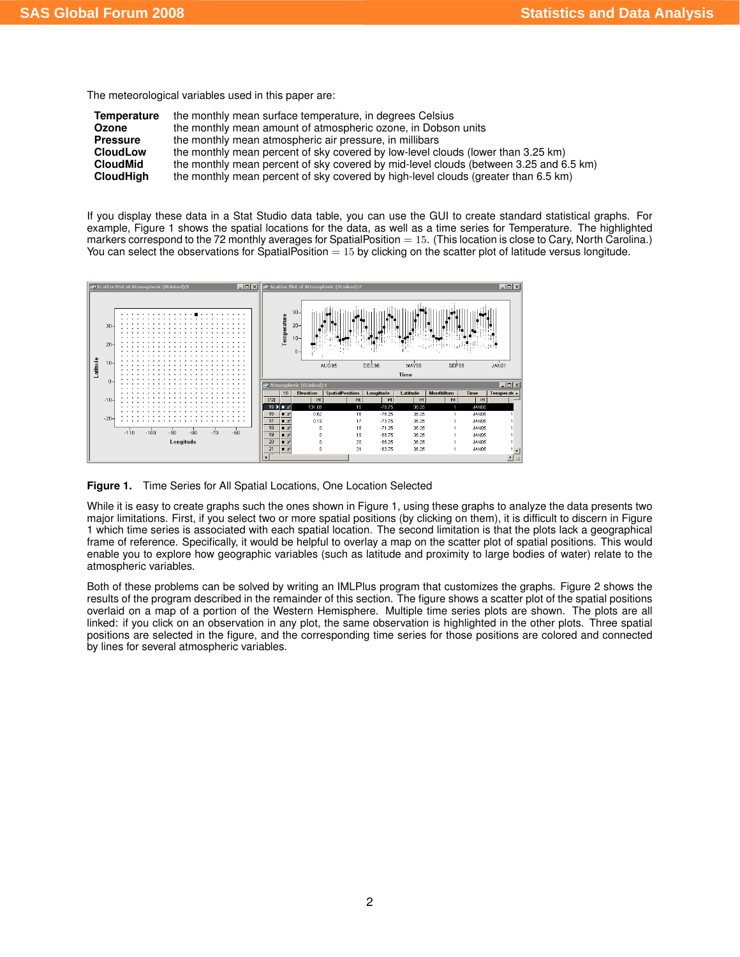The meteorological variables used in this paper are:

| Temperature      | the monthly mean surface temperature, in degrees Celsius                              |
|------------------|---------------------------------------------------------------------------------------|
| Ozone            | the monthly mean amount of atmospheric ozone, in Dobson units                         |
| <b>Pressure</b>  | the monthly mean atmospheric air pressure, in millibars                               |
| <b>CloudLow</b>  | the monthly mean percent of sky covered by low-level clouds (lower than 3.25 km)      |
| <b>CloudMid</b>  | the monthly mean percent of sky covered by mid-level clouds (between 3.25 and 6.5 km) |
| <b>CloudHigh</b> | the monthly mean percent of sky covered by high-level clouds (greater than 6.5 km)    |

If you display these data in a Stat Studio data table, you can use the GUI to create standard statistical graphs. For example, [Figure 1](#page-1-0) shows the spatial locations for the data, as well as a time series for Temperature. The highlighted markers correspond to the 72 monthly averages for SpatialPosition  $= 15$ . (This location is close to Cary, North Carolina.) You can select the observations for SpatialPosition  $= 15$  by clicking on the scatter plot of latitude versus longitude.



<span id="page-1-0"></span>**Figure 1.** Time Series for All Spatial Locations, One Location Selected

While it is easy to create graphs such the ones shown in [Figure 1,](#page-1-0) using these graphs to analyze the data presents two major limitations. First, if you select two or more spatial positions (by clicking on them), it is difficult to discern in [Figure](#page-1-0) [1](#page-1-0) which time series is associated with each spatial location. The second limitation is that the plots lack a geographical frame of reference. Specifically, it would be helpful to overlay a map on the scatter plot of spatial positions. This would enable you to explore how geographic variables (such as latitude and proximity to large bodies of water) relate to the atmospheric variables.

Both of these problems can be solved by writing an IMLPlus program that customizes the graphs. [Figure 2](#page-2-0) shows the results of the program described in the remainder of this section. The figure shows a scatter plot of the spatial positions overlaid on a map of a portion of the Western Hemisphere. Multiple time series plots are shown. The plots are all linked: if you click on an observation in any plot, the same observation is highlighted in the other plots. Three spatial positions are selected in the figure, and the corresponding time series for those positions are colored and connected by lines for several atmospheric variables.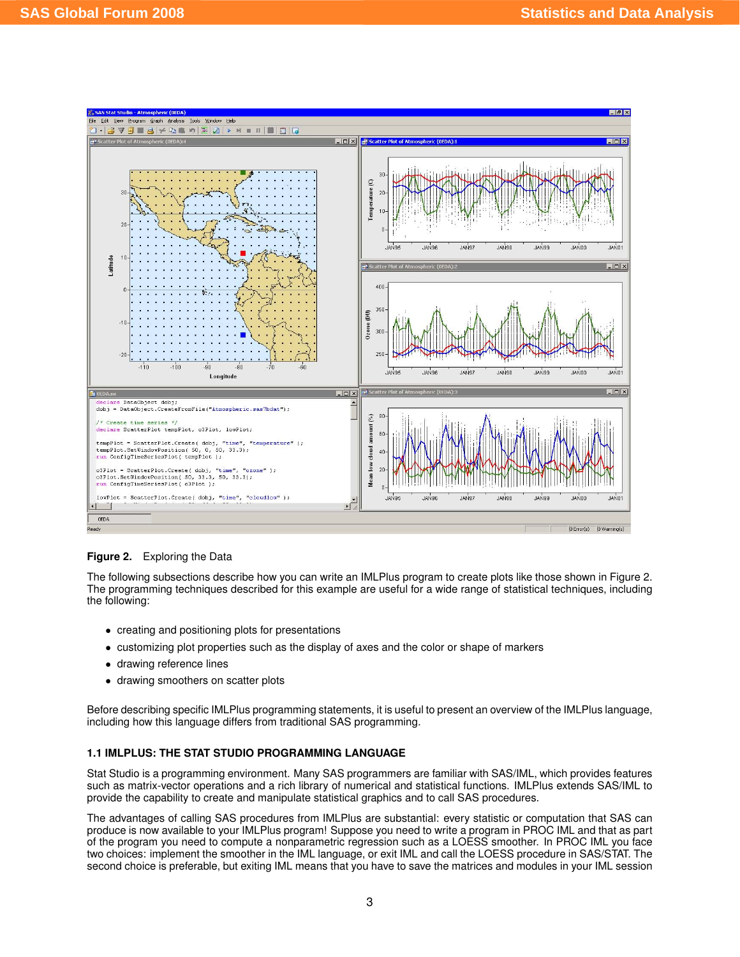

<span id="page-2-0"></span>**Figure 2.** Exploring the Data

The following subsections describe how you can write an IMLPlus program to create plots like those shown in [Figure 2.](#page-2-0) The programming techniques described for this example are useful for a wide range of statistical techniques, including the following:

- creating and positioning plots for presentations
- customizing plot properties such as the display of axes and the color or shape of markers
- drawing reference lines
- drawing smoothers on scatter plots

Before describing specific IMLPlus programming statements, it is useful to present an overview of the IMLPlus language, including how this language differs from traditional SAS programming.

## **1.1 IMLPLUS: THE STAT STUDIO PROGRAMMING LANGUAGE**

Stat Studio is a programming environment. Many SAS programmers are familiar with SAS/IML, which provides features such as matrix-vector operations and a rich library of numerical and statistical functions. IMLPlus extends SAS/IML to provide the capability to create and manipulate statistical graphics and to call SAS procedures.

The advantages of calling SAS procedures from IMLPlus are substantial: every statistic or computation that SAS can produce is now available to your IMLPlus program! Suppose you need to write a program in PROC IML and that as part of the program you need to compute a nonparametric regression such as a LOESS smoother. In PROC IML you face two choices: implement the smoother in the IML language, or exit IML and call the LOESS procedure in SAS/STAT. The second choice is preferable, but exiting IML means that you have to save the matrices and modules in your IML session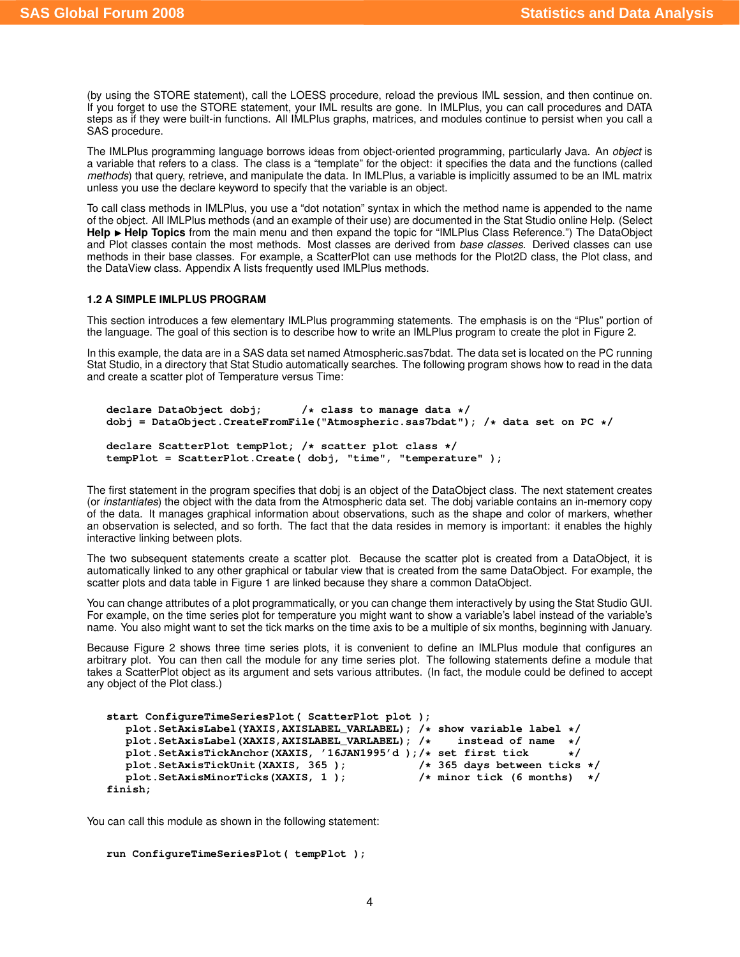(by using the STORE statement), call the LOESS procedure, reload the previous IML session, and then continue on. If you forget to use the STORE statement, your IML results are gone. In IMLPlus, you can call procedures and DATA steps as if they were built-in functions. All IMLPlus graphs, matrices, and modules continue to persist when you call a SAS procedure.

The IMLPlus programming language borrows ideas from object-oriented programming, particularly Java. An *object* is a variable that refers to a class. The class is a "template" for the object: it specifies the data and the functions (called *methods*) that query, retrieve, and manipulate the data. In IMLPlus, a variable is implicitly assumed to be an IML matrix unless you use the declare keyword to specify that the variable is an object.

To call class methods in IMLPlus, you use a "dot notation" syntax in which the method name is appended to the name of the object. All IMLPlus methods (and an example of their use) are documented in the Stat Studio online Help. (Select **Help ► Help Topics** from the main menu and then expand the topic for "IMLPlus Class Reference.") The DataObject and Plot classes contain the most methods. Most classes are derived from *base classes*. Derived classes can use methods in their base classes. For example, a ScatterPlot can use methods for the Plot2D class, the Plot class, and the DataView class. Appendix A lists frequently used IMLPlus methods.

#### **1.2 A SIMPLE IMLPLUS PROGRAM**

This section introduces a few elementary IMLPlus programming statements. The emphasis is on the "Plus" portion of the language. The goal of this section is to describe how to write an IMLPlus program to create the plot in [Figure 2.](#page-2-0)

In this example, the data are in a SAS data set named Atmospheric.sas7bdat. The data set is located on the PC running Stat Studio, in a directory that Stat Studio automatically searches. The following program shows how to read in the data and create a scatter plot of Temperature versus Time:

```
declare DataObject dobj; /* class to manage data */
dobj = DataObject.CreateFromFile("Atmospheric.sas7bdat"); /* data set on PC */
declare ScatterPlot tempPlot; /* scatter plot class */
tempPlot = ScatterPlot.Create( dobj, "time", "temperature" );
```
The first statement in the program specifies that dobj is an object of the DataObject class. The next statement creates (or *instantiates*) the object with the data from the Atmospheric data set. The dobj variable contains an in-memory copy of the data. It manages graphical information about observations, such as the shape and color of markers, whether an observation is selected, and so forth. The fact that the data resides in memory is important: it enables the highly interactive linking between plots.

The two subsequent statements create a scatter plot. Because the scatter plot is created from a DataObject, it is automatically linked to any other graphical or tabular view that is created from the same DataObject. For example, the scatter plots and data table in [Figure 1](#page-1-0) are linked because they share a common DataObject.

You can change attributes of a plot programmatically, or you can change them interactively by using the Stat Studio GUI. For example, on the time series plot for temperature you might want to show a variable's label instead of the variable's name. You also might want to set the tick marks on the time axis to be a multiple of six months, beginning with January.

Because [Figure 2](#page-2-0) shows three time series plots, it is convenient to define an IMLPlus module that configures an arbitrary plot. You can then call the module for any time series plot. The following statements define a module that takes a ScatterPlot object as its argument and sets various attributes. (In fact, the module could be defined to accept any object of the Plot class.)

```
start ConfigureTimeSeriesPlot( ScatterPlot plot );
  plot.SetAxisLabel(YAXIS,AXISLABEL_VARLABEL); /* show variable label */
  plot.SetAxisLabel(XAXIS,AXISLABEL_VARLABEL); /* instead of name */
  plot.SetAxisTickAnchor(XAXIS, '16JAN1995'd );/* set first tick */
  plot.SetAxisTickUnit(XAXIS, 365 ); /* 365 days between ticks */
  plot. SetAxisMinorTicks(XAXIS, 1);
finish;
```
You can call this module as shown in the following statement:

```
run ConfigureTimeSeriesPlot( tempPlot );
```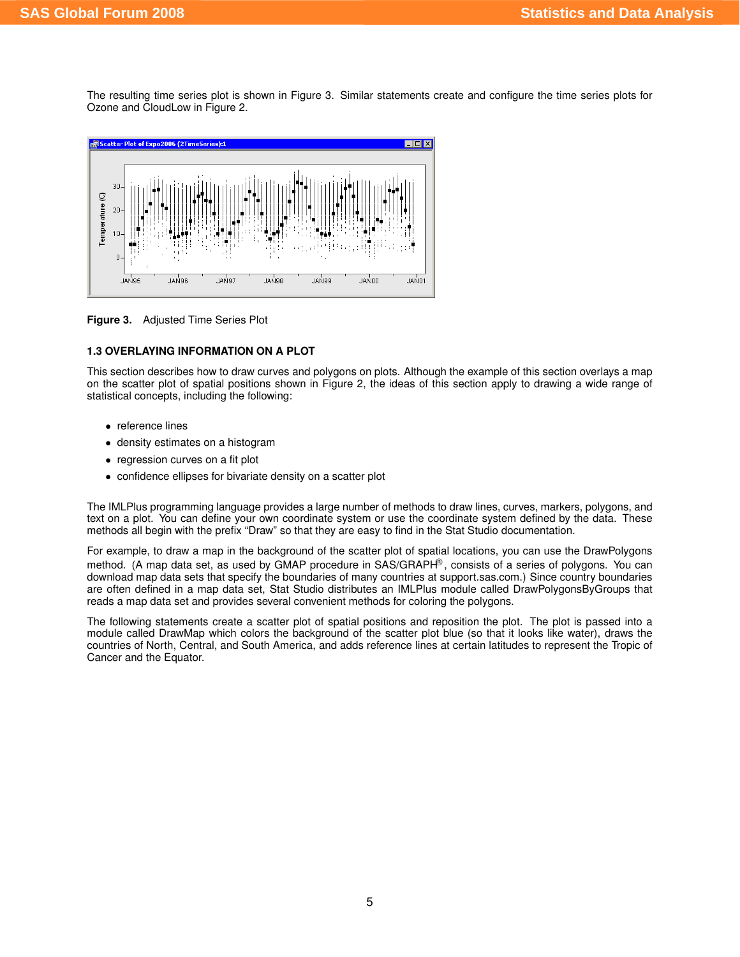The resulting time series plot is shown in [Figure 3.](#page-4-0) Similar statements create and configure the time series plots for Ozone and CloudLow in [Figure 2.](#page-2-0)



<span id="page-4-0"></span>**Figure 3.** Adjusted Time Series Plot

#### **1.3 OVERLAYING INFORMATION ON A PLOT**

This section describes how to draw curves and polygons on plots. Although the example of this section overlays a map on the scatter plot of spatial positions shown in [Figure 2,](#page-2-0) the ideas of this section apply to drawing a wide range of statistical concepts, including the following:

- reference lines
- density estimates on a histogram
- regression curves on a fit plot
- confidence ellipses for bivariate density on a scatter plot

The IMLPlus programming language provides a large number of methods to draw lines, curves, markers, polygons, and text on a plot. You can define your own coordinate system or use the coordinate system defined by the data. These methods all begin with the prefix "Draw" so that they are easy to find in the Stat Studio documentation.

For example, to draw a map in the background of the scatter plot of spatial locations, you can use the DrawPolygons method. (A map data set, as used by GMAP procedure in SAS/GRAPH<sup>®</sup>, consists of a series of polygons. You can download map data sets that specify the boundaries of many countries at support.sas.com.) Since country boundaries are often defined in a map data set, Stat Studio distributes an IMLPlus module called DrawPolygonsByGroups that reads a map data set and provides several convenient methods for coloring the polygons.

The following statements create a scatter plot of spatial positions and reposition the plot. The plot is passed into a module called DrawMap which colors the background of the scatter plot blue (so that it looks like water), draws the countries of North, Central, and South America, and adds reference lines at certain latitudes to represent the Tropic of Cancer and the Equator.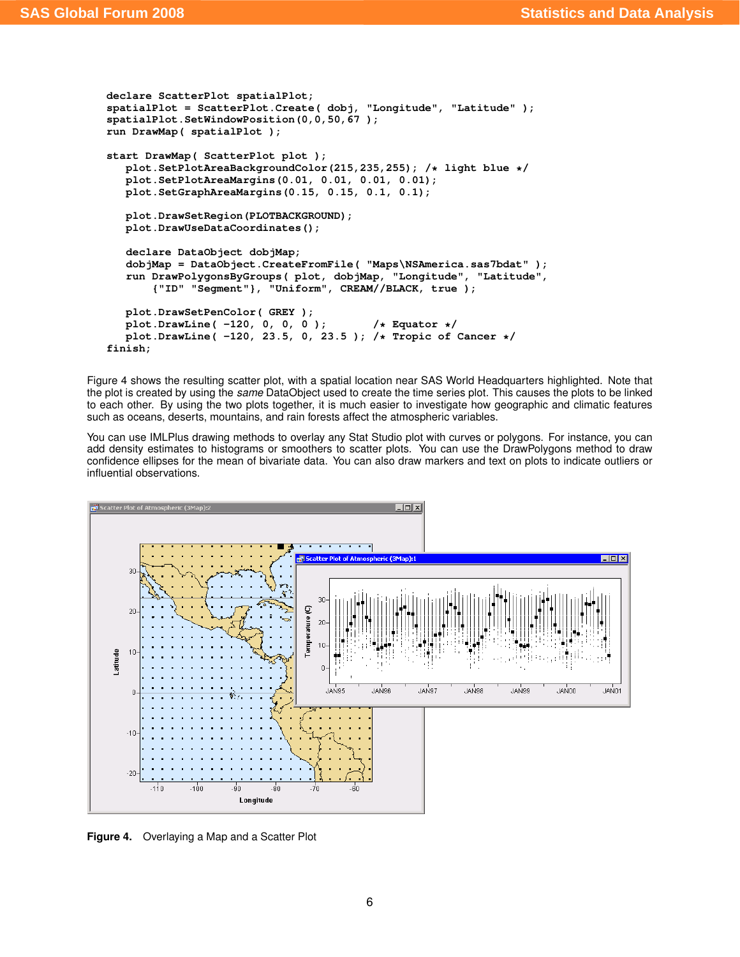```
declare ScatterPlot spatialPlot;
spatialPlot = ScatterPlot.Create( dobj, "Longitude", "Latitude" );
spatialPlot.SetWindowPosition(0,0,50,67 );
run DrawMap( spatialPlot );
start DrawMap( ScatterPlot plot );
  plot.SetPlotAreaBackgroundColor(215,235,255); /* light blue */
  plot.SetPlotAreaMargins(0.01, 0.01, 0.01, 0.01);
  plot.SetGraphAreaMargins(0.15, 0.15, 0.1, 0.1);
  plot.DrawSetRegion(PLOTBACKGROUND);
  plot.DrawUseDataCoordinates();
  declare DataObject dobjMap;
   dobjMap = DataObject.CreateFromFile( "Maps\NSAmerica.sas7bdat" );
   run DrawPolygonsByGroups( plot, dobjMap, "Longitude", "Latitude",
       {"ID" "Segment"}, "Uniform", CREAM//BLACK, true );
  plot.DrawSetPenColor( GREY );
   plot.DrawLine( -120, 0, 0, 0 ); /* Equator */
   plot.DrawLine( -120, 23.5, 0, 23.5 ); /* Tropic of Cancer */
finish;
```
[Figure 4](#page-5-0) shows the resulting scatter plot, with a spatial location near SAS World Headquarters highlighted. Note that the plot is created by using the *same* DataObject used to create the time series plot. This causes the plots to be linked to each other. By using the two plots together, it is much easier to investigate how geographic and climatic features such as oceans, deserts, mountains, and rain forests affect the atmospheric variables.

You can use IMLPlus drawing methods to overlay any Stat Studio plot with curves or polygons. For instance, you can add density estimates to histograms or smoothers to scatter plots. You can use the DrawPolygons method to draw confidence ellipses for the mean of bivariate data. You can also draw markers and text on plots to indicate outliers or influential observations.



<span id="page-5-0"></span>**Figure 4.** Overlaying a Map and a Scatter Plot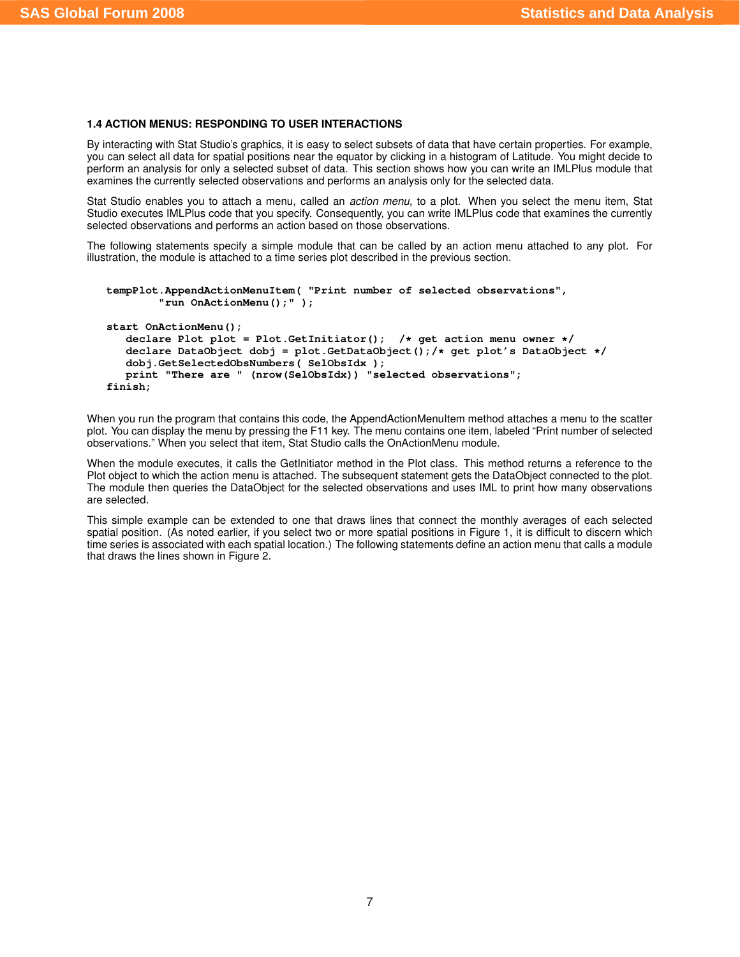#### <span id="page-6-0"></span>**1.4 ACTION MENUS: RESPONDING TO USER INTERACTIONS**

By interacting with Stat Studio's graphics, it is easy to select subsets of data that have certain properties. For example, you can select all data for spatial positions near the equator by clicking in a histogram of Latitude. You might decide to perform an analysis for only a selected subset of data. This section shows how you can write an IMLPlus module that examines the currently selected observations and performs an analysis only for the selected data.

Stat Studio enables you to attach a menu, called an *action menu*, to a plot. When you select the menu item, Stat Studio executes IMLPlus code that you specify. Consequently, you can write IMLPlus code that examines the currently selected observations and performs an action based on those observations.

The following statements specify a simple module that can be called by an action menu attached to any plot. For illustration, the module is attached to a time series plot described in the previous section.

```
tempPlot.AppendActionMenuItem( "Print number of selected observations",
        "run OnActionMenu();" );
start OnActionMenu();
   declare Plot plot = Plot.GetInitiator(); /* get action menu owner */
   declare DataObject dobj = plot.GetDataObject();/* get plot's DataObject */
  dobj.GetSelectedObsNumbers( SelObsIdx );
  print "There are " (nrow(SelObsIdx)) "selected observations";
finish;
```
When you run the program that contains this code, the AppendActionMenuItem method attaches a menu to the scatter plot. You can display the menu by pressing the F11 key. The menu contains one item, labeled "Print number of selected observations." When you select that item, Stat Studio calls the OnActionMenu module.

When the module executes, it calls the GetInitiator method in the Plot class. This method returns a reference to the Plot object to which the action menu is attached. The subsequent statement gets the DataObject connected to the plot. The module then queries the DataObject for the selected observations and uses IML to print how many observations are selected.

This simple example can be extended to one that draws lines that connect the monthly averages of each selected spatial position. (As noted earlier, if you select two or more spatial positions in [Figure 1,](#page-1-0) it is difficult to discern which time series is associated with each spatial location.) The following statements define an action menu that calls a module that draws the lines shown in [Figure 2.](#page-2-0)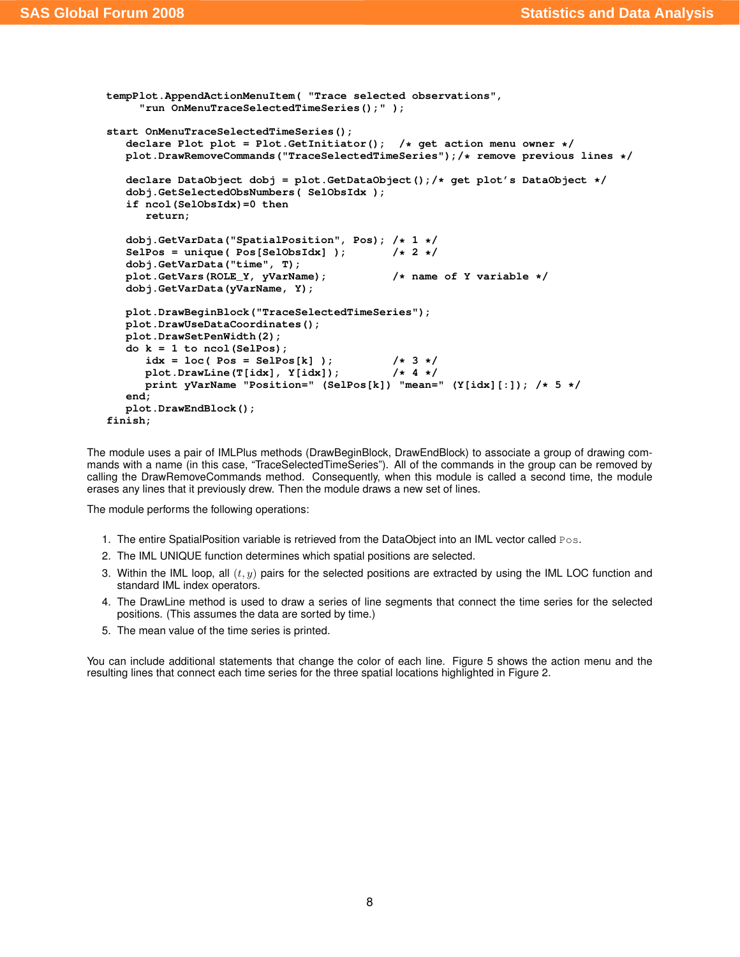```
tempPlot.AppendActionMenuItem( "Trace selected observations",
     "run OnMenuTraceSelectedTimeSeries();" );
start OnMenuTraceSelectedTimeSeries();
   declare Plot plot = Plot.GetInitiator(); /* get action menu owner */
  plot.DrawRemoveCommands("TraceSelectedTimeSeries");/* remove previous lines */
   declare DataObject dobj = plot.GetDataObject();/* get plot's DataObject */
   dobj.GetSelectedObsNumbers( SelObsIdx );
   if ncol(SelObsIdx)=0 then
     return;
   dobj.GetVarData("SpatialPosition", Pos); /* 1 */
   SelPos = unique( Pos[SelObsIdx] ); /* 2 */
   dobj.GetVarData("time", T);
  plot.GetVars(ROLE_Y, yVarName); /* name of Y variable */
  dobj.GetVarData(yVarName, Y);
  plot.DrawBeginBlock("TraceSelectedTimeSeries");
  plot.DrawUseDataCoordinates();
  plot.DrawSetPenWidth(2);
  do k = 1 to ncol(SelPos);
      idx = loc( Pos = SelPos[k] ); /* 3 */
     plot.DrawLine(Tlidx], Y-idx);
     print yVarName "Position=" (SelPos[k]) "mean=" (Y[idx][:]); /* 5 */
   end;
  plot.DrawEndBlock();
finish;
```
The module uses a pair of IMLPlus methods (DrawBeginBlock, DrawEndBlock) to associate a group of drawing commands with a name (in this case, "TraceSelectedTimeSeries"). All of the commands in the group can be removed by calling the DrawRemoveCommands method. Consequently, when this module is called a second time, the module erases any lines that it previously drew. Then the module draws a new set of lines.

The module performs the following operations:

- 1. The entire SpatialPosition variable is retrieved from the DataObject into an IML vector called  $P \circ s$ .
- 2. The IML UNIQUE function determines which spatial positions are selected.
- 3. Within the IML loop, all  $(t, y)$  pairs for the selected positions are extracted by using the IML LOC function and standard IML index operators.
- 4. The DrawLine method is used to draw a series of line segments that connect the time series for the selected positions. (This assumes the data are sorted by time.)
- 5. The mean value of the time series is printed.

You can include additional statements that change the color of each line. [Figure 5](#page-8-0) shows the action menu and the resulting lines that connect each time series for the three spatial locations highlighted in [Figure 2.](#page-2-0)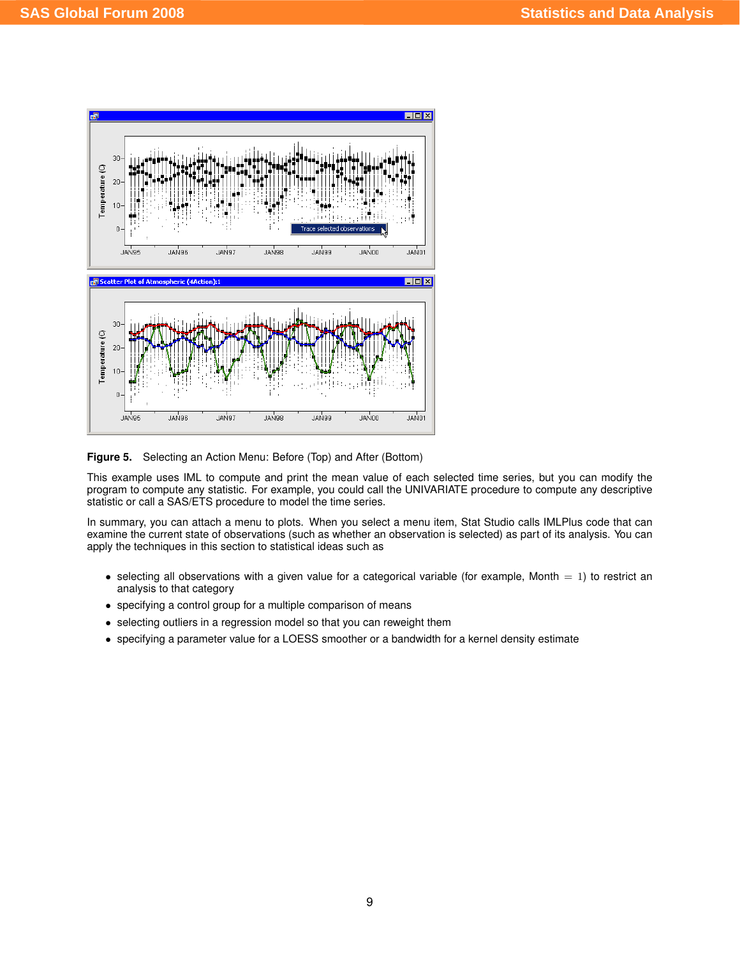

<span id="page-8-0"></span>**Figure 5.** Selecting an Action Menu: Before (Top) and After (Bottom)

This example uses IML to compute and print the mean value of each selected time series, but you can modify the program to compute any statistic. For example, you could call the UNIVARIATE procedure to compute any descriptive statistic or call a SAS/ETS procedure to model the time series.

In summary, you can attach a menu to plots. When you select a menu item, Stat Studio calls IMLPlus code that can examine the current state of observations (such as whether an observation is selected) as part of its analysis. You can apply the techniques in this section to statistical ideas such as

- selecting all observations with a given value for a categorical variable (for example, Month  $= 1$ ) to restrict an analysis to that category
- specifying a control group for a multiple comparison of means
- selecting outliers in a regression model so that you can reweight them
- specifying a parameter value for a LOESS smoother or a bandwidth for a kernel density estimate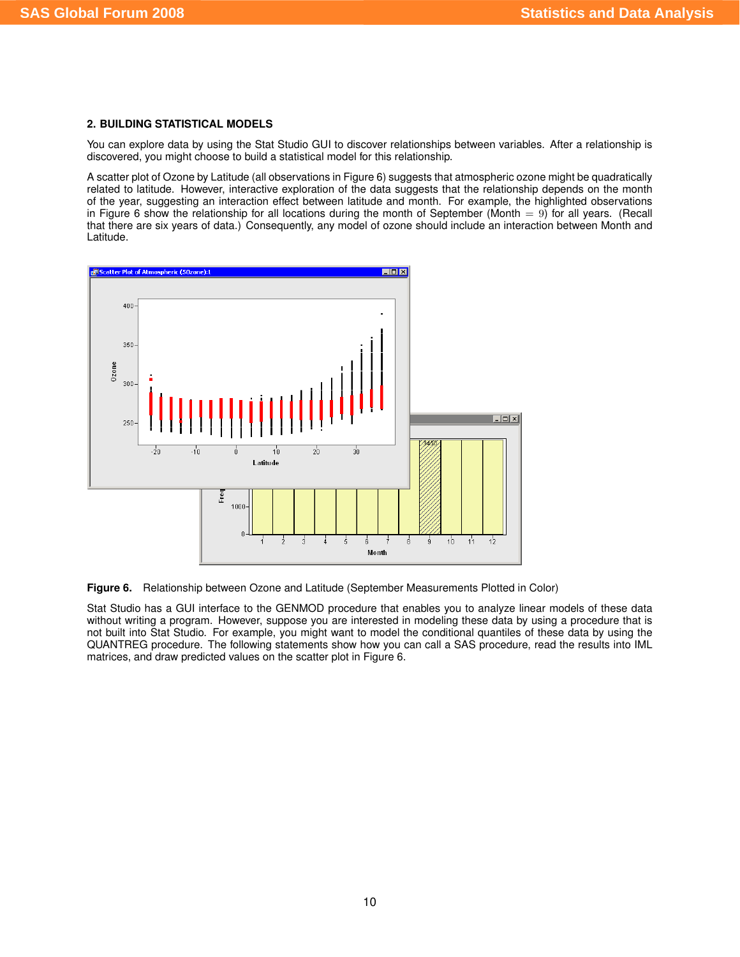#### **2. BUILDING STATISTICAL MODELS**

You can explore data by using the Stat Studio GUI to discover relationships between variables. After a relationship is discovered, you might choose to build a statistical model for this relationship.

A scatter plot of Ozone by Latitude (all observations in [Figure 6\)](#page-9-0) suggests that atmospheric ozone might be quadratically related to latitude. However, interactive exploration of the data suggests that the relationship depends on the month of the year, suggesting an interaction effect between latitude and month. For example, the highlighted observations in [Figure 6](#page-9-0) show the relationship for all locations during the month of September (Month  $= 9$ ) for all years. (Recall that there are six years of data.) Consequently, any model of ozone should include an interaction between Month and Latitude.



<span id="page-9-0"></span>**Figure 6.** Relationship between Ozone and Latitude (September Measurements Plotted in Color)

Stat Studio has a GUI interface to the GENMOD procedure that enables you to analyze linear models of these data without writing a program. However, suppose you are interested in modeling these data by using a procedure that is not built into Stat Studio. For example, you might want to model the conditional quantiles of these data by using the QUANTREG procedure. The following statements show how you can call a SAS procedure, read the results into IML matrices, and draw predicted values on the scatter plot in [Figure 6.](#page-9-0)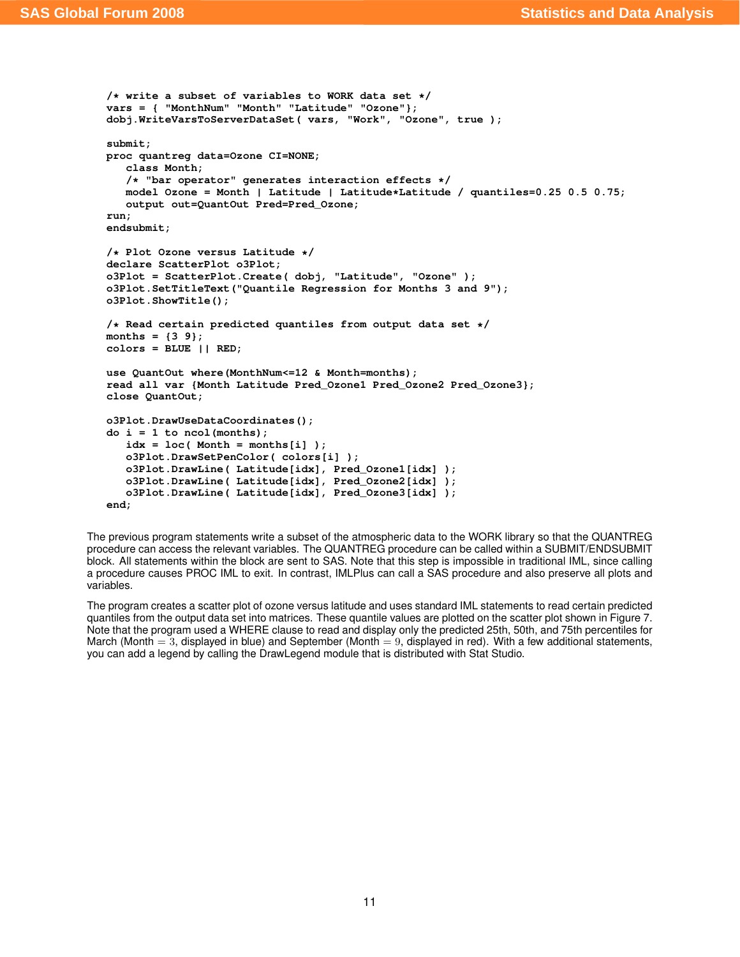```
/* write a subset of variables to WORK data set */
vars = { "MonthNum" "Month" "Latitude" "Ozone"};
dobj.WriteVarsToServerDataSet( vars, "Work", "Ozone", true );
submit;
proc quantreg data=Ozone CI=NONE;
   class Month;
   /* "bar operator" generates interaction effects */
   model Ozone = Month | Latitude | Latitude*Latitude / quantiles=0.25 0.5 0.75;
   output out=QuantOut Pred=Pred_Ozone;
run;
endsubmit;
/* Plot Ozone versus Latitude */
declare ScatterPlot o3Plot;
o3Plot = ScatterPlot.Create( dobj, "Latitude", "Ozone" );
o3Plot.SetTitleText("Quantile Regression for Months 3 and 9");
o3Plot.ShowTitle();
/* Read certain predicted quantiles from output data set */
months = {3 9};
colors = BLUE || RED;
use QuantOut where(MonthNum<=12 & Month=months);
read all var {Month Latitude Pred_Ozone1 Pred_Ozone2 Pred_Ozone3};
close QuantOut;
o3Plot.DrawUseDataCoordinates();
do i = 1 to ncol(months);
   idx = loc( Month = months[i] );
   o3Plot.DrawSetPenColor( colors[i] );
   o3Plot.DrawLine( Latitude[idx], Pred_Ozone1[idx] );
   o3Plot.DrawLine( Latitude[idx], Pred_Ozone2[idx] );
   o3Plot.DrawLine( Latitude[idx], Pred_Ozone3[idx] );
end;
```
The previous program statements write a subset of the atmospheric data to the WORK library so that the QUANTREG procedure can access the relevant variables. The QUANTREG procedure can be called within a SUBMIT/ENDSUBMIT block. All statements within the block are sent to SAS. Note that this step is impossible in traditional IML, since calling a procedure causes PROC IML to exit. In contrast, IMLPlus can call a SAS procedure and also preserve all plots and variables.

The program creates a scatter plot of ozone versus latitude and uses standard IML statements to read certain predicted quantiles from the output data set into matrices. These quantile values are plotted on the scatter plot shown in [Figure 7.](#page-11-0) Note that the program used a WHERE clause to read and display only the predicted 25th, 50th, and 75th percentiles for March (Month  $= 3$ , displayed in blue) and September (Month  $= 9$ , displayed in red). With a few additional statements, you can add a legend by calling the DrawLegend module that is distributed with Stat Studio.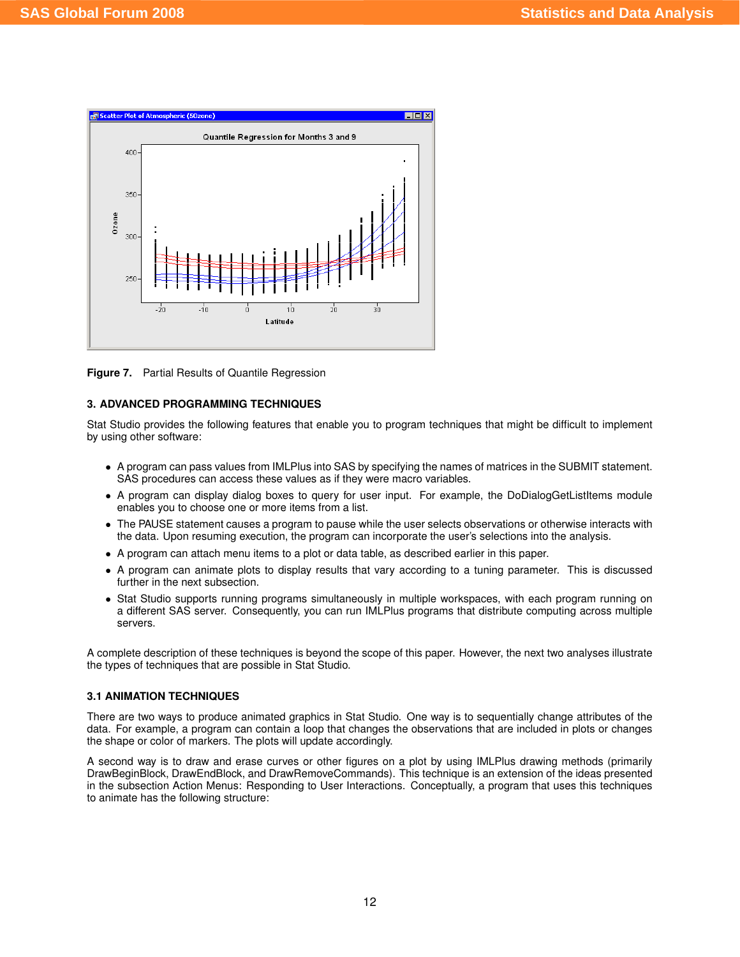

<span id="page-11-0"></span>**Figure 7.** Partial Results of Quantile Regression

## **3. ADVANCED PROGRAMMING TECHNIQUES**

Stat Studio provides the following features that enable you to program techniques that might be difficult to implement by using other software:

- A program can pass values from IMLPlus into SAS by specifying the names of matrices in the SUBMIT statement. SAS procedures can access these values as if they were macro variables.
- A program can display dialog boxes to query for user input. For example, the DoDialogGetListItems module enables you to choose one or more items from a list.
- The PAUSE statement causes a program to pause while the user selects observations or otherwise interacts with the data. Upon resuming execution, the program can incorporate the user's selections into the analysis.
- A program can attach menu items to a plot or data table, as described earlier in this paper.
- A program can animate plots to display results that vary according to a tuning parameter. This is discussed further in the next subsection.
- Stat Studio supports running programs simultaneously in multiple workspaces, with each program running on a different SAS server. Consequently, you can run IMLPlus programs that distribute computing across multiple servers.

A complete description of these techniques is beyond the scope of this paper. However, the next two analyses illustrate the types of techniques that are possible in Stat Studio.

#### **3.1 ANIMATION TECHNIQUES**

There are two ways to produce animated graphics in Stat Studio. One way is to sequentially change attributes of the data. For example, a program can contain a loop that changes the observations that are included in plots or changes the shape or color of markers. The plots will update accordingly.

A second way is to draw and erase curves or other figures on a plot by using IMLPlus drawing methods (primarily DrawBeginBlock, DrawEndBlock, and DrawRemoveCommands). This technique is an extension of the ideas presented in the subsection [Action Menus: Responding to User Interactions.](#page-6-0) Conceptually, a program that uses this techniques to animate has the following structure: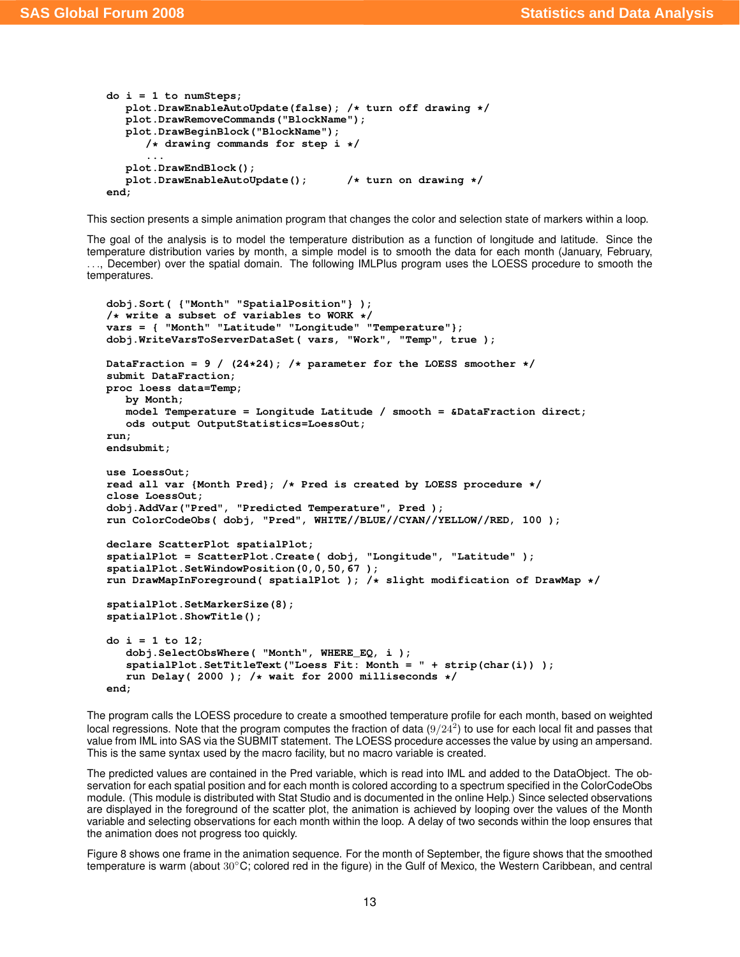```
do i = 1 to numSteps;
   plot.DrawEnableAutoUpdate(false); /* turn off drawing */
  plot.DrawRemoveCommands("BlockName");
  plot.DrawBeginBlock("BlockName");
      /* drawing commands for step i */
      ...
  plot.DrawEndBlock();
  plot.DrawEnableAutoUpdate(); /* turn on drawing */
end;
```
This section presents a simple animation program that changes the color and selection state of markers within a loop.

The goal of the analysis is to model the temperature distribution as a function of longitude and latitude. Since the temperature distribution varies by month, a simple model is to smooth the data for each month (January, February, . . ., December) over the spatial domain. The following IMLPlus program uses the LOESS procedure to smooth the temperatures.

```
dobj.Sort( {"Month" "SpatialPosition"} );
/* write a subset of variables to WORK */
vars = { "Month" "Latitude" "Longitude" "Temperature"};
dobj.WriteVarsToServerDataSet( vars, "Work", "Temp", true );
DataFraction = 9 / (24*24); /* parameter for the LOESS smoother */
submit DataFraction;
proc loess data=Temp;
  by Month;
  model Temperature = Longitude Latitude / smooth = &DataFraction direct;
   ods output OutputStatistics=LoessOut;
run;
endsubmit;
use LoessOut;
read all var {Month Pred}; /* Pred is created by LOESS procedure */
close LoessOut;
dobj.AddVar("Pred", "Predicted Temperature", Pred );
run ColorCodeObs( dobj, "Pred", WHITE//BLUE//CYAN//YELLOW//RED, 100 );
declare ScatterPlot spatialPlot;
spatialPlot = ScatterPlot.Create( dobj, "Longitude", "Latitude" );
spatialPlot.SetWindowPosition(0,0,50,67 );
run DrawMapInForeground( spatialPlot ); /* slight modification of DrawMap */
spatialPlot.SetMarkerSize(8);
spatialPlot.ShowTitle();
do i = 1 to 12;
   dobj.SelectObsWhere( "Month", WHERE_EQ, i );
   spatialPlot.SetTitleText("Loess Fit: Month = " + strip(char(i)) );
   run Delay( 2000 ); /* wait for 2000 milliseconds */
end;
```
The program calls the LOESS procedure to create a smoothed temperature profile for each month, based on weighted local regressions. Note that the program computes the fraction of data  $(9/24^2)$  to use for each local fit and passes that value from IML into SAS via the SUBMIT statement. The LOESS procedure accesses the value by using an ampersand. This is the same syntax used by the macro facility, but no macro variable is created.

The predicted values are contained in the Pred variable, which is read into IML and added to the DataObject. The observation for each spatial position and for each month is colored according to a spectrum specified in the ColorCodeObs module. (This module is distributed with Stat Studio and is documented in the online Help.) Since selected observations are displayed in the foreground of the scatter plot, the animation is achieved by looping over the values of the Month variable and selecting observations for each month within the loop. A delay of two seconds within the loop ensures that the animation does not progress too quickly.

[Figure 8](#page-13-0) shows one frame in the animation sequence. For the month of September, the figure shows that the smoothed temperature is warm (about 30°C; colored red in the figure) in the Gulf of Mexico, the Western Caribbean, and central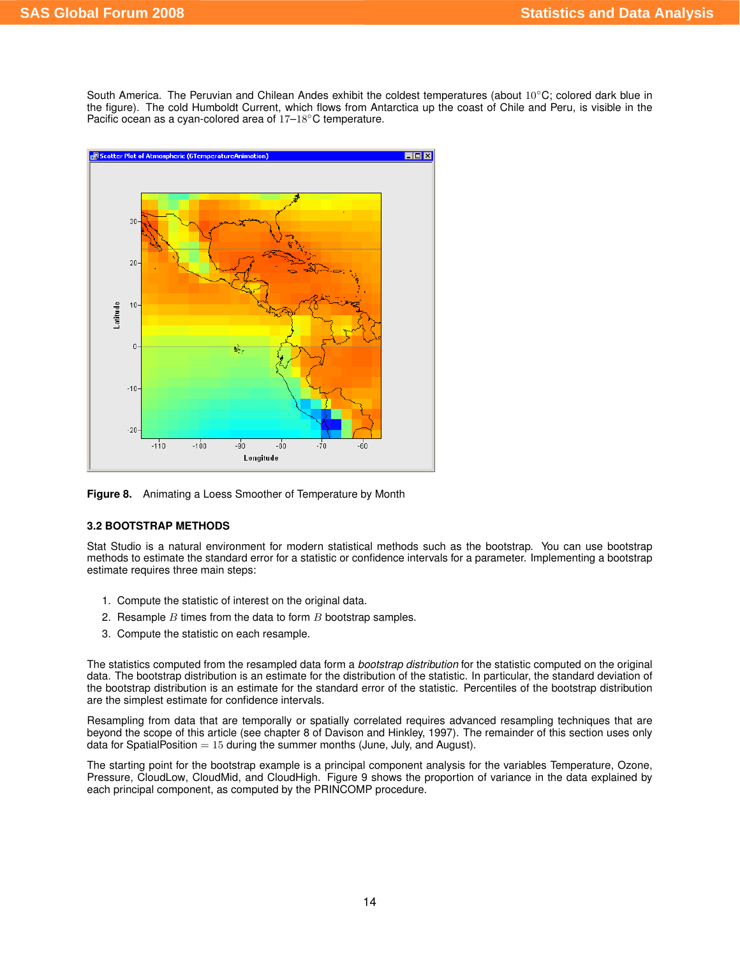South America. The Peruvian and Chilean Andes exhibit the coldest temperatures (about  $10^{\circ}$ C; colored dark blue in the figure). The cold Humboldt Current, which flows from Antarctica up the coast of Chile and Peru, is visible in the Pacific ocean as a cyan-colored area of 17–18℃ temperature.



<span id="page-13-0"></span>**Figure 8.** Animating a Loess Smoother of Temperature by Month

# **3.2 BOOTSTRAP METHODS**

Stat Studio is a natural environment for modern statistical methods such as the bootstrap. You can use bootstrap methods to estimate the standard error for a statistic or confidence intervals for a parameter. Implementing a bootstrap estimate requires three main steps:

- 1. Compute the statistic of interest on the original data.
- 2. Resample  $B$  times from the data to form  $B$  bootstrap samples.
- 3. Compute the statistic on each resample.

The statistics computed from the resampled data form a *bootstrap distribution* for the statistic computed on the original data. The bootstrap distribution is an estimate for the distribution of the statistic. In particular, the standard deviation of the bootstrap distribution is an estimate for the standard error of the statistic. Percentiles of the bootstrap distribution are the simplest estimate for confidence intervals.

Resampling from data that are temporally or spatially correlated requires advanced resampling techniques that are beyond the scope of this article (see chapter 8 of Davison and Hinkley, 1997). The remainder of this section uses only data for SpatialPosition  $= 15$  during the summer months (June, July, and August).

The starting point for the bootstrap example is a principal component analysis for the variables Temperature, Ozone, Pressure, CloudLow, CloudMid, and CloudHigh. [Figure 9](#page-14-0) shows the proportion of variance in the data explained by each principal component, as computed by the PRINCOMP procedure.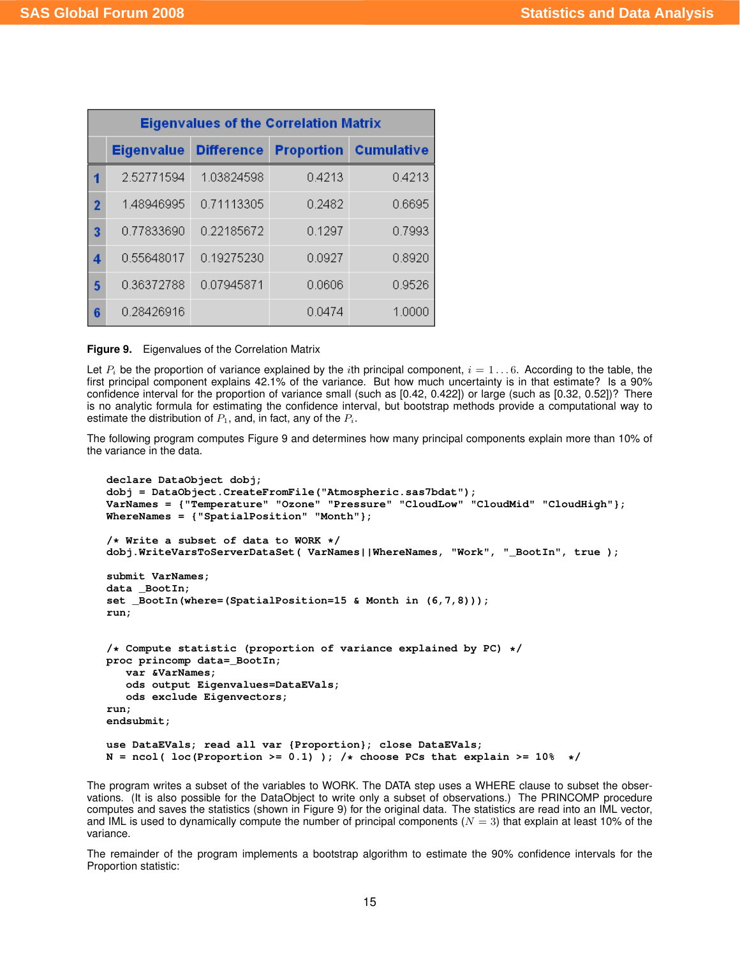|                | <b>Eigenvalues of the Correlation Matrix</b> |                   |                   |                   |  |
|----------------|----------------------------------------------|-------------------|-------------------|-------------------|--|
|                | <b>Eigenvalue</b>                            | <b>Difference</b> | <b>Proportion</b> | <b>Cumulative</b> |  |
| 1              | 2.52771594                                   | 1.03824598        | 0.4213            | 0.4213            |  |
| $\overline{2}$ | 1.48946995                                   | 0.71113305        | 0.2482            | 0.6695            |  |
| 3              | 0.77833690                                   | 0.22185672        | 0.1297            | 0.7993            |  |
| 4              | 0.55648017                                   | 0.19275230        | 0.0927            | 0.8920            |  |
| 5              | 0.36372788                                   | 0.07945871        | 0.0606            | 0.9526            |  |
| 6              | 0.28426916                                   |                   | 0.0474            | 1.0000            |  |

<span id="page-14-0"></span>**Figure 9.** Eigenvalues of the Correlation Matrix

Let  $P_i$  be the proportion of variance explained by the *i*th principal component,  $i = 1...6$ . According to the table, the first principal component explains 42.1% of the variance. But how much uncertainty is in that estimate? Is a 90% confidence interval for the proportion of variance small (such as [0.42, 0.422]) or large (such as [0.32, 0.52])? There is no analytic formula for estimating the confidence interval, but bootstrap methods provide a computational way to estimate the distribution of  $P_1$ , and, in fact, any of the  $P_i$ .

The following program computes [Figure 9](#page-14-0) and determines how many principal components explain more than 10% of the variance in the data.

```
declare DataObject dobj;
dobj = DataObject.CreateFromFile("Atmospheric.sas7bdat");
VarNames = {"Temperature" "Ozone" "Pressure" "CloudLow" "CloudMid" "CloudHigh"};
WhereNames = {"SpatialPosition" "Month"};
/* Write a subset of data to WORK */
dobj.WriteVarsToServerDataSet( VarNames||WhereNames, "Work", "_BootIn", true );
submit VarNames;
data _BootIn;
set _BootIn(where=(SpatialPosition=15 & Month in (6,7,8)));
run;
/* Compute statistic (proportion of variance explained by PC) */
proc princomp data=_BootIn;
   var &VarNames;
   ods output Eigenvalues=DataEVals;
   ods exclude Eigenvectors;
run;
endsubmit;
use DataEVals; read all var {Proportion}; close DataEVals;
N = \text{ncol}( \text{loc}( \text{Proportion } \text{>= } 0.1) ); /* choose PCs that explain >= 10\% */
```
The program writes a subset of the variables to WORK. The DATA step uses a WHERE clause to subset the observations. (It is also possible for the DataObject to write only a subset of observations.) The PRINCOMP procedure computes and saves the statistics (shown in [Figure 9\)](#page-14-0) for the original data. The statistics are read into an IML vector, and IML is used to dynamically compute the number of principal components ( $N = 3$ ) that explain at least 10% of the variance.

The remainder of the program implements a bootstrap algorithm to estimate the 90% confidence intervals for the Proportion statistic: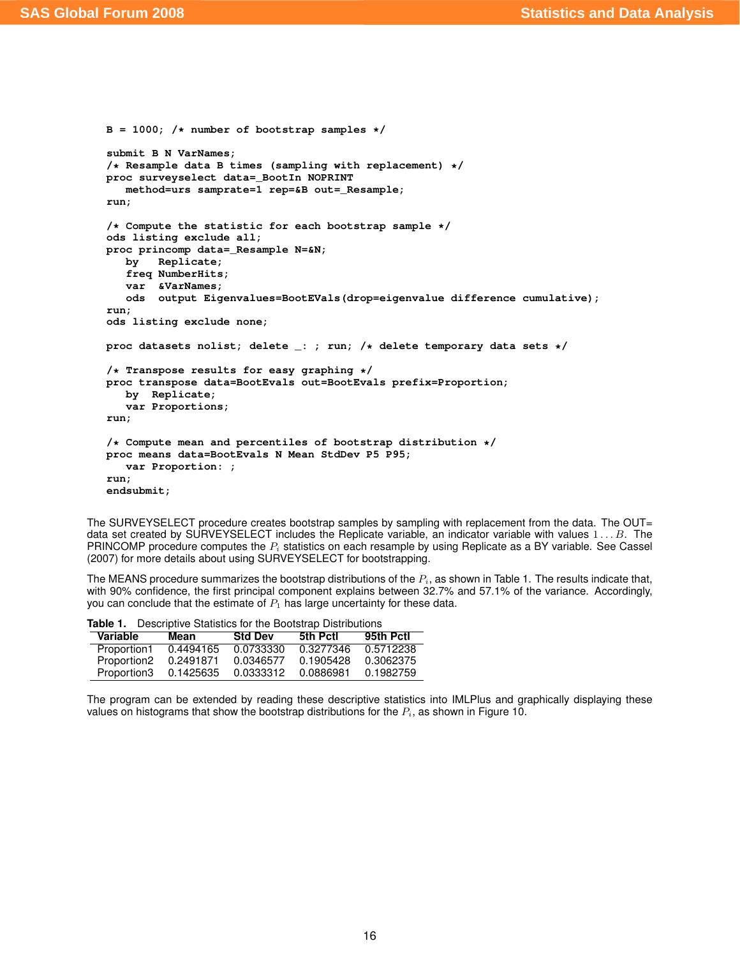```
B = 1000; /* number of bootstrap samples */
submit B N VarNames;
/* Resample data B times (sampling with replacement) */
proc surveyselect data=_BootIn NOPRINT
  method=urs samprate=1 rep=&B out=_Resample;
run;
/* Compute the statistic for each bootstrap sample */
ods listing exclude all;
proc princomp data=_Resample N=&N;
  by Replicate;
   freq NumberHits;
   var &VarNames;
   ods output Eigenvalues=BootEVals(drop=eigenvalue difference cumulative);
run;
ods listing exclude none;
proc datasets nolist; delete _: ; run; /* delete temporary data sets */
/* Transpose results for easy graphing */
proc transpose data=BootEvals out=BootEvals prefix=Proportion;
  by Replicate;
   var Proportions;
run;
/* Compute mean and percentiles of bootstrap distribution */
proc means data=BootEvals N Mean StdDev P5 P95;
   var Proportion: ;
run;
endsubmit;
```
The SURVEYSELECT procedure creates bootstrap samples by sampling with replacement from the data. The OUT= data set created by SURVEYSELECT includes the Replicate variable, an indicator variable with values  $1 \dots B$ . The PRINCOMP procedure computes the  $P_i$  statistics on each resample by using Replicate as a BY variable. See Cassel (2007) for more details about using SURVEYSELECT for bootstrapping.

The MEANS procedure summarizes the bootstrap distributions of the  $P_i$ , as shown in [Table 1.](#page-15-0) The results indicate that, with 90% confidence, the first principal component explains between 32.7% and 57.1% of the variance. Accordingly, you can conclude that the estimate of  $P_1$  has large uncertainty for these data.

| <b>RANGE:</b> POSSERVE STATISTICS TOP THO BOSTOTION BISHINGTONS |           |                |           |           |
|-----------------------------------------------------------------|-----------|----------------|-----------|-----------|
| Variable                                                        | Mean      | <b>Std Dev</b> | 5th Pctl  | 95th Pctl |
| Proportion1                                                     | 0.4494165 | 0.0733330      | 0.3277346 | 0.5712238 |
| Proportion <sub>2</sub>                                         | 0.2491871 | 0.0346577      | 0.1905428 | 0.3062375 |
| Proportion3                                                     | 0.1425635 | 0.0333312      | 0.0886981 | 0.1982759 |

<span id="page-15-0"></span>**Table 1.** Descriptive Statistics for the Bootstrap Distributions

The program can be extended by reading these descriptive statistics into IMLPlus and graphically displaying these values on histograms that show the bootstrap distributions for the  $P_i$ , as shown in [Figure 10.](#page-16-0)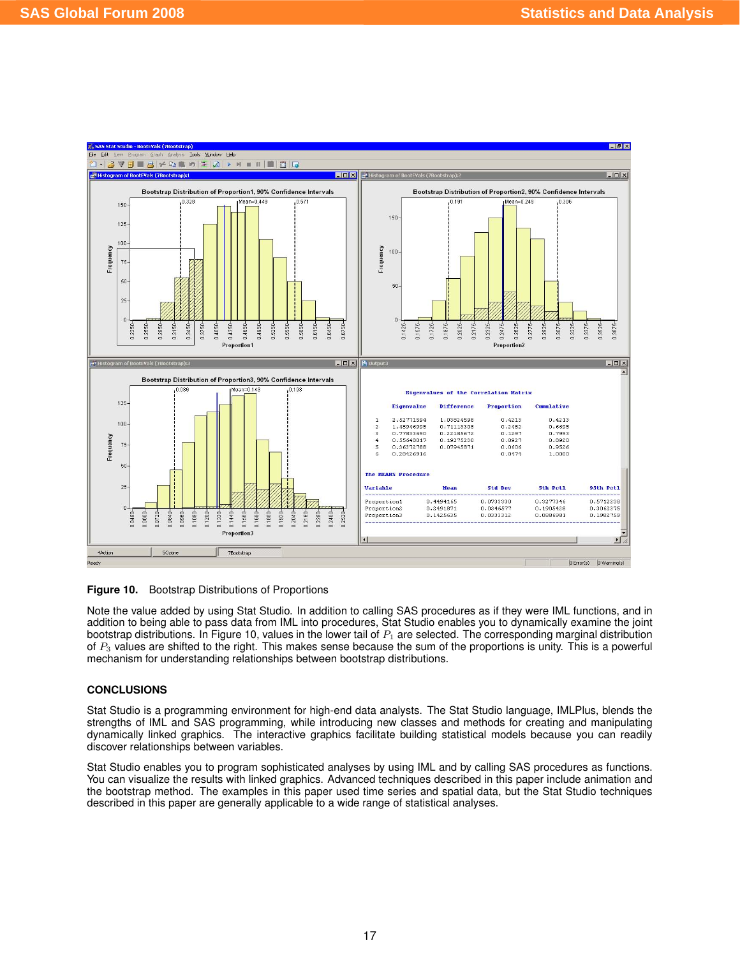

<span id="page-16-0"></span>**Figure 10.** Bootstrap Distributions of Proportions

Note the value added by using Stat Studio. In addition to calling SAS procedures as if they were IML functions, and in addition to being able to pass data from IML into procedures, Stat Studio enables you to dynamically examine the joint bootstrap distributions. In [Figure 10,](#page-16-0) values in the lower tail of  $P_1$  are selected. The corresponding marginal distribution of  $P_3$  values are shifted to the right. This makes sense because the sum of the proportions is unity. This is a powerful mechanism for understanding relationships between bootstrap distributions.

# **CONCLUSIONS**

Stat Studio is a programming environment for high-end data analysts. The Stat Studio language, IMLPlus, blends the strengths of IML and SAS programming, while introducing new classes and methods for creating and manipulating dynamically linked graphics. The interactive graphics facilitate building statistical models because you can readily discover relationships between variables.

Stat Studio enables you to program sophisticated analyses by using IML and by calling SAS procedures as functions. You can visualize the results with linked graphics. Advanced techniques described in this paper include animation and the bootstrap method. The examples in this paper used time series and spatial data, but the Stat Studio techniques described in this paper are generally applicable to a wide range of statistical analyses.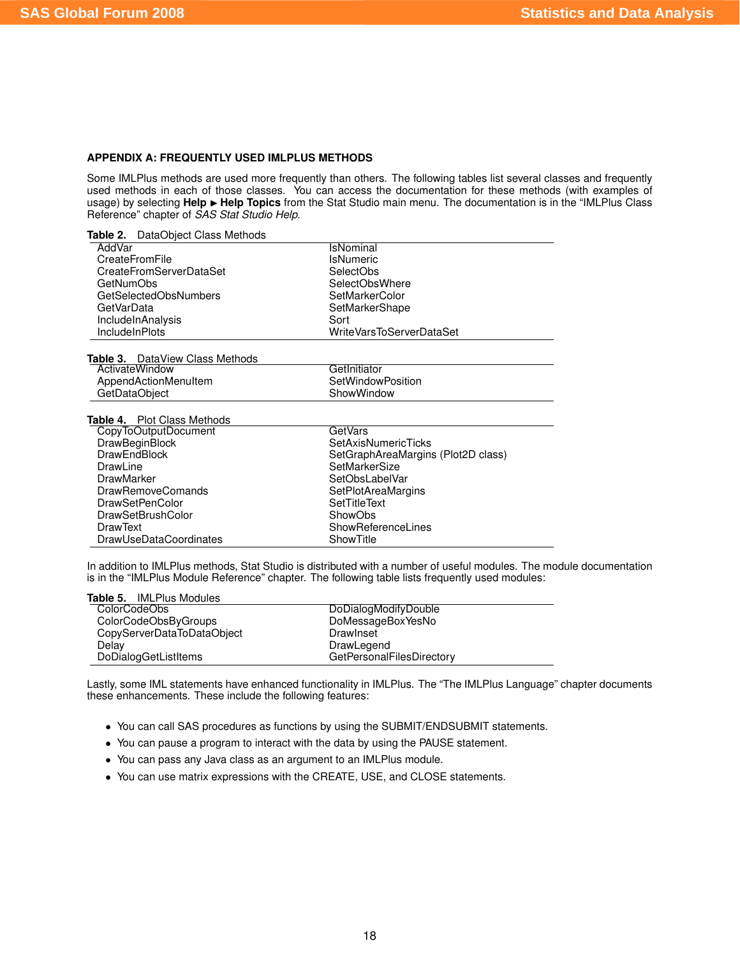#### **APPENDIX A: FREQUENTLY USED IMLPLUS METHODS**

Some IMLPlus methods are used more frequently than others. The following tables list several classes and frequently used methods in each of those classes. You can access the documentation for these methods (with examples of usage) by selecting Help > Help Topics from the Stat Studio main menu. The documentation is in the "IMLPlus Class Reference" chapter of *SAS Stat Studio Help*.

**Table 2.** DataObject Class Methods

DrawSetBrushColor<br>DrawText

DrawUseDataCoordinates

| AddVar                                 | IsNominal                          |
|----------------------------------------|------------------------------------|
| CreateFromFile                         | <b>IsNumeric</b>                   |
| CreateFromServerDataSet                | <b>SelectObs</b>                   |
| <b>GetNumObs</b>                       | SelectObsWhere                     |
| GetSelectedObsNumbers                  | SetMarkerColor                     |
| GetVarData                             | SetMarkerShape                     |
| IncludeInAnalysis                      | Sort                               |
| <b>Include In Plots</b>                | WriteVarsToServerDataSet           |
|                                        |                                    |
| <b>Table 3.</b> DataView Class Methods |                                    |
| ActivateWindow                         | GetInitiator                       |
| AppendActionMenuItem                   | SetWindowPosition                  |
| GetDataObject                          | ShowWindow                         |
|                                        |                                    |
| <b>Table 4.</b> Plot Class Methods     |                                    |
| CopyToOutputDocument                   | GetVars                            |
| <b>DrawBeginBlock</b>                  | <b>SetAxisNumericTicks</b>         |
| <b>DrawEndBlock</b>                    | SetGraphAreaMargins (Plot2D class) |
| DrawLine                               | SetMarkerSize                      |
| <b>DrawMarker</b>                      | SetObsLabelVar                     |
| <b>DrawRemoveComands</b>               | SetPlotAreaMargins                 |
| <b>DrawSetPenColor</b>                 | <b>SetTitleText</b>                |
| <b>DrawSetBrushColor</b>               | ShowObs                            |

In addition to IMLPlus methods, Stat Studio is distributed with a number of useful modules. The module documentation is in the "IMLPlus Module Reference" chapter. The following table lists frequently used modules:

ShowReferenceLines<br>ShowTitle

| <b>Table 5.</b> IMLPlus Modules |                                  |  |
|---------------------------------|----------------------------------|--|
| ColorCodeObs                    | DoDialogModifyDouble             |  |
| ColorCodeObsByGroups            | DoMessageBoxYesNo                |  |
| CopyServerDataToDataObject      | Drawlnset                        |  |
| Delay                           | DrawLegend                       |  |
| DoDialogGetListItems            | <b>GetPersonalFilesDirectory</b> |  |

Lastly, some IML statements have enhanced functionality in IMLPlus. The "The IMLPlus Language" chapter documents these enhancements. These include the following features:

- You can call SAS procedures as functions by using the SUBMIT/ENDSUBMIT statements.
- You can pause a program to interact with the data by using the PAUSE statement.
- You can pass any Java class as an argument to an IMLPlus module.
- You can use matrix expressions with the CREATE, USE, and CLOSE statements.